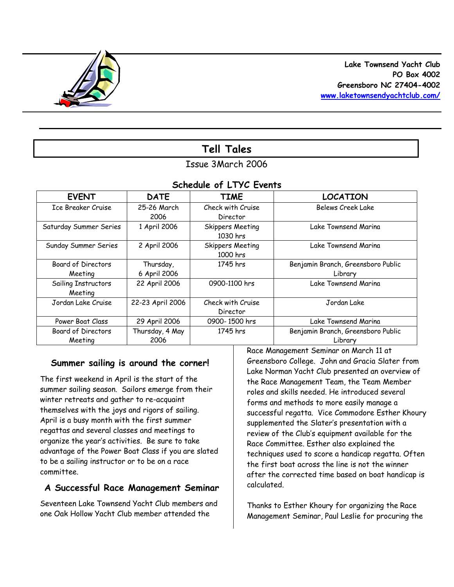

# **Tell Tales**

# Issue 3March 2006

### *Schedule of LTYC Events*

| <b>EVENT</b>                         | <b>DATE</b>               | <b>TIME</b>                         | <b>LOCATION</b>                               |
|--------------------------------------|---------------------------|-------------------------------------|-----------------------------------------------|
| Ice Breaker Cruise                   | 25-26 March<br>2006       | Check with Cruise<br>Director       | Belews Creek Lake                             |
| Saturday Summer Series               | 1 April 2006              | <b>Skippers Meeting</b><br>1030 hrs | Lake Townsend Marina                          |
| Sunday Summer Series                 | 2 April 2006              | Skippers Meeting<br>1000 hrs        | Lake Townsend Marina                          |
| <b>Board of Directors</b><br>Meeting | Thursday,<br>6 April 2006 | 1745 hrs                            | Benjamin Branch, Greensboro Public<br>Library |
| Sailing Instructors<br>Meeting       | 22 April 2006             | 0900-1100 hrs                       | Lake Townsend Marina                          |
| Jordan Lake Cruise                   | 22-23 April 2006          | Check with Cruise<br>Director       | Jordan Lake                                   |
| Power Boat Class                     | 29 April 2006             | 0900-1500 hrs                       | Lake Townsend Marina                          |
| <b>Board of Directors</b><br>Meeting | Thursday, 4 May<br>2006   | 1745 hrs                            | Benjamin Branch, Greensboro Public<br>Library |

### **Summer sailing is around the corner!**

The first weekend in April is the start of the summer sailing season. Sailors emerge from their winter retreats and gather to re-acquaint themselves with the joys and rigors of sailing. April is a busy month with the first summer regattas and several classes and meetings to organize the year's activities. Be sure to take advantage of the Power Boat Class if you are slated to be a sailing instructor or to be on a race committee.

### **A Successful Race Management Seminar**

Seventeen Lake Townsend Yacht Club members and one Oak Hollow Yacht Club member attended the

Race Management Seminar on March 11 at Greensboro College. John and Gracia Slater from Lake Norman Yacht Club presented an overview of the Race Management Team, the Team Member roles and skills needed. He introduced several forms and methods to more easily manage a successful regatta. Vice Commodore Esther Khoury supplemented the Slater's presentation with a review of the Club's equipment available for the Race Committee. Esther also explained the techniques used to score a handicap regatta. Often the first boat across the line is not the winner after the corrected time based on boat handicap is calculated.

Thanks to Esther Khoury for organizing the Race Management Seminar, Paul Leslie for procuring the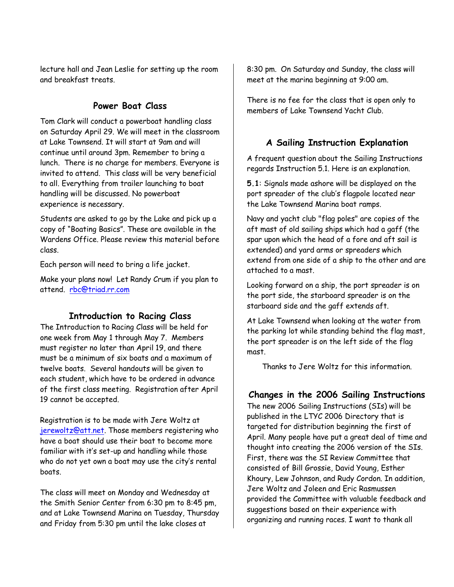lecture hall and Jean Leslie for setting up the room and breakfast treats.

### **Power Boat Class**

Tom Clark will conduct a powerboat handling class on Saturday April 29. We will meet in the classroom at Lake Townsend. It will start at 9am and will continue until around 3pm. Remember to bring a lunch. There is no charge for members. Everyone is invited to attend. This class will be very beneficial to all. Everything from trailer launching to boat handling will be discussed. No powerboat experience is necessary.

Students are asked to go by the Lake and pick up a copy of "Boating Basics". These are available in the Wardens Office. Please review this material before class.

Each person will need to bring a life jacket.

Make your plans now! Let Randy Crum if you plan to attend. rbc@triad.rr.com

### **Introduction to Racing Class**

The Introduction to Racing Class will be held for one week from May 1 through May 7. Members must register no later than April 19, and there must be a minimum of six boats and a maximum of twelve boats. Several handouts will be given to each student, which have to be ordered in advance of the first class meeting. Registration after April 19 cannot be accepted.

Registration is to be made with Jere Woltz at jerewoltz@att.net. Those members registering who have a boat should use their boat to become more familiar with it's set-up and handling while those who do not yet own a boat may use the city's rental boats.

The class will meet on Monday and Wednesday at the Smith Senior Center from 6:30 pm to 8:45 pm, and at Lake Townsend Marina on Tuesday, Thursday and Friday from 5:30 pm until the lake closes at

8:30 pm. On Saturday and Sunday, the class will meet at the marina beginning at 9:00 am.

There is no fee for the class that is open only to members of Lake Townsend Yacht Club.

### **A Sailing Instruction Explanation**

A frequent question about the Sailing Instructions regards Instruction 5.1. Here is an explanation.

**5.1**: Signals made ashore will be displayed on the port spreader of the club's flagpole located near the Lake Townsend Marina boat ramps.

Navy and yacht club "flag poles" are copies of the aft mast of old sailing ships which had a gaff (the spar upon which the head of a fore and aft sail is extended) and yard arms or spreaders which extend from one side of a ship to the other and are attached to a mast.

Looking forward on a ship, the port spreader is on the port side, the starboard spreader is on the starboard side and the gaff extends aft.

At Lake Townsend when looking at the water from the parking lot while standing behind the flag mast, the port spreader is on the left side of the flag mast.

Thanks to Jere Woltz for this information.

# **Changes in the 2006 Sailing Instructions**

The new 2006 Sailing Instructions (SIs) will be published in the LTYC 2006 Directory that is targeted for distribution beginning the first of April. Many people have put a great deal of time and thought into creating the 2006 version of the SIs. First, there was the SI Review Committee that consisted of Bill Grossie, David Young, Esther Khoury, Lew Johnson, and Rudy Cordon. In addition, Jere Woltz and Joleen and Eric Rasmussen provided the Committee with valuable feedback and suggestions based on their experience with organizing and running races. I want to thank all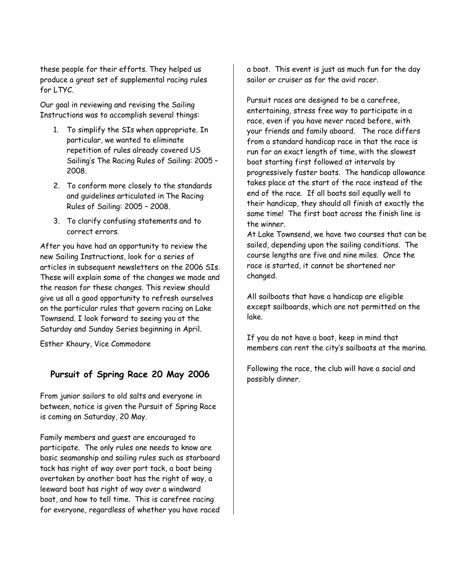these people for their efforts. They helped us produce a great set of supplemental racing rules for LTYC.

Our goal in reviewing and revising the Sailing Instructions was to accomplish several things:

- 1. To simplify the SIs when appropriate. In particular, we wanted to eliminate repetition of rules already covered US Sailing's *The Racing Rules of Sailing: 2005 – 2008*.
- 2. To conform more closely to the standards and guidelines articulated in *The Racing Rules of Sailing: 2005 – 2008*.
- 3. To clarify confusing statements and to correct errors.

After you have had an opportunity to review the new Sailing Instructions, look for a series of articles in subsequent newsletters on the 2006 SIs. These will explain some of the changes we made and the reason for these changes. This review should give us all a good opportunity to refresh ourselves on the particular rules that govern racing on Lake Townsend. I look forward to seeing you at the Saturday and Sunday Series beginning in April.

Esther Khoury, Vice Commodore

# **Pursuit of Spring Race 20 May 2006**

From junior sailors to old salts and everyone in between, notice is given the Pursuit of Spring Race is coming on Saturday, 20 May.

Family members and guest are encouraged to participate. The only rules one needs to know are basic seamanship and sailing rules such as starboard tack has right of way over port tack, a boat being overtaken by another boat has the right of way, a leeward boat has right of way over a windward boat, and how to tell time. This is carefree racing for everyone, regardless of whether you have raced

a boat. This event is just as much fun for the day sailor or cruiser as for the avid racer.

Pursuit races are designed to be a carefree, entertaining, stress free way to participate in a race, even if you have never raced before, with your friends and family aboard. The race differs from a standard handicap race in that the race is run for an exact length of time, with the slowest boat starting first followed at intervals by progressively faster boats. The handicap allowance takes place at the start of the race instead of the end of the race. If all boats sail equally well to their handicap, they should all finish at exactly the same time! The first boat across the finish line is the winner.

At Lake Townsend, we have two courses that can be sailed, depending upon the sailing conditions. The course lengths are five and nine miles. Once the race is started, it cannot be shortened nor changed.

All sailboats that have a handicap are eligible except sailboards, which are not permitted on the lake.

If you do not have a boat, keep in mind that members can rent the city's sailboats at the marina.

Following the race, the club will have a social and possibly dinner.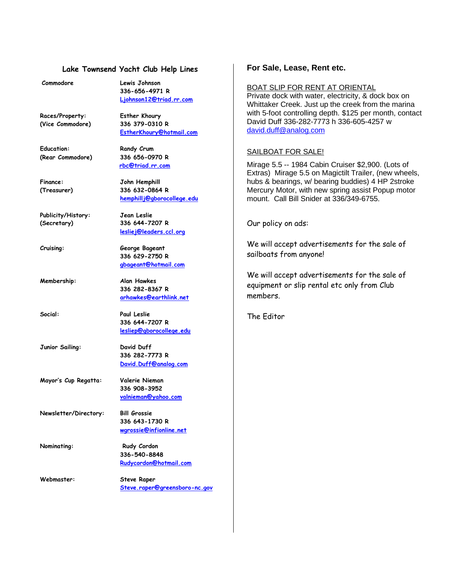#### **Lake Townsend Yacht Club Help Lines**

| Commodore             | Lewis Johnson                   |
|-----------------------|---------------------------------|
|                       | 336-656-4971 R                  |
|                       | Ljohnson12@triad.rr.com         |
| Races/Property:       | <b>Esther Khoury</b>            |
| (Vice Commodore)      | 336 379-0310 R                  |
|                       | EstherKhoury@hotmail.com        |
| <b>Education:</b>     | Randy Crum                      |
| (Rear Commodore)      | 336 656-0970 R                  |
|                       | rbc@triad.rr.com                |
| <b>Finance:</b>       | John Hemphill                   |
| (Treasurer)           | 336 632-0864 R                  |
|                       | hemphillj@gborocollege.edu      |
| Publicity/History:    | Jean Leslie                     |
| (Secretary)           | 336 644-7207 R                  |
|                       | lesliej@leaders.ccl.org         |
| Cruising:             | George Bageant                  |
|                       | 336 629-2750 R                  |
|                       | gbageant@hotmail.com            |
| Membership:           | Alan Hawkes                     |
|                       | 336 282-8367 R                  |
|                       | arhawkes@earthlink.net          |
| Social:               | <b>Paul Leslie</b>              |
|                       | 336 644-7207 R                  |
|                       | <u>lesliep@gborocollege.edu</u> |
| Junior Sailing:       | David Duff                      |
|                       | 336 282-7773 R                  |
|                       | David.Duff@analog.com           |
| Mayor's Cup Regatta:  | Valerie Nieman                  |
|                       | 336 908-3952                    |
|                       | valnieman@yahoo.com             |
| Newsletter/Directory: | <b>Bill Grossie</b>             |
|                       | 336 643-1730 R                  |
|                       | wgrossie@infionline.net         |
| Nominating:           | Rudy Cordon                     |
|                       | 336-540-8848                    |
|                       | Rudycordon@hotmail.com          |
| Webmaster:            | <b>Steve Raper</b>              |
|                       | Steve.raper@greensboro-nc.gov   |

#### **For Sale, Lease, Rent etc.**

BOAT SLIP FOR RENT AT ORIENTAL Private dock with water, electricity, & dock box on Whittaker Creek. Just up the creek from the marina with 5-foot controlling depth. \$125 per month, contact David Duff 336-282-7773 h 336-605-4257 w david.duff@analog.com

#### SAILBOAT FOR SALE!

Mirage 5.5 -- 1984 Cabin Cruiser \$2,900. (Lots of Extras) Mirage 5.5 on Magictilt Trailer, (new wheels, hubs & bearings, w/ bearing buddies) 4 HP 2stroke Mercury Motor, with new spring assist Popup motor mount. Call Bill Snider at 336/349-6755.

Our policy on ads:

We will accept advertisements for the sale of sailboats from anyone!

We will accept advertisements for the sale of equipment or slip rental etc only from Club members.

The Editor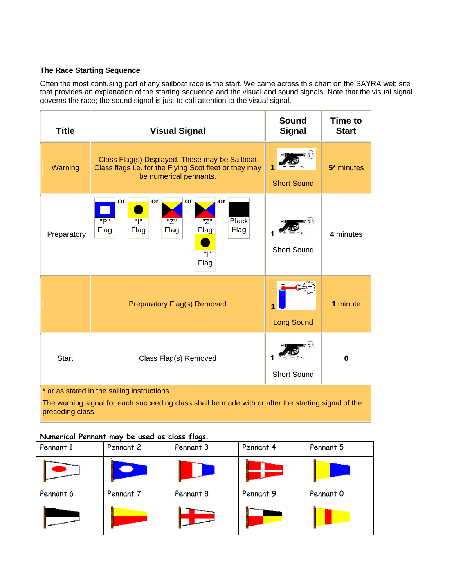#### **The Race Starting Sequence**

Often the most confusing part of any sailboat race is the start. We came across this chart on the SAYRA web site that provides an explanation of the starting sequence and the visual and sound signals. Note that the visual signal governs the race; the sound signal is just to call attention to the visual signal.

| <b>Title</b>                                                                                                                                                          | <b>Visual Signal</b>                                                                                                               | <b>Sound</b><br><b>Signal</b> | Time to<br><b>Start</b> |
|-----------------------------------------------------------------------------------------------------------------------------------------------------------------------|------------------------------------------------------------------------------------------------------------------------------------|-------------------------------|-------------------------|
| Warning                                                                                                                                                               | Class Flag(s) Displayed. These may be Sailboat<br>Class flags i.e. for the Flying Scot fleet or they may<br>be numerical pennants. | <b>Short Sound</b>            | 5 <sup>*</sup> minutes  |
| Preparatory                                                                                                                                                           | or<br>or<br>or<br>or<br>"l"<br><b>Black</b><br>"P"<br>"Z"<br>"Z"<br>Flag<br>Flag<br>Flag<br>Flag<br>Flag<br>"l"<br>Flag            | <b>Short Sound</b>            | 4 minutes               |
|                                                                                                                                                                       | <b>Preparatory Flag(s) Removed</b>                                                                                                 | <b>Long Sound</b>             | 1 minute                |
| <b>Start</b>                                                                                                                                                          | Class Flag(s) Removed                                                                                                              | <b>Short Sound</b>            | 0                       |
| * or as stated in the sailing instructions<br>The warning signal for each succeeding class shall be made with or after the starting signal of the<br>preceding class. |                                                                                                                                    |                               |                         |

#### **Numerical Pennant may be used as class flags.**

| Pennant 1 | Pennant 2 | Pennant 3 | Pennant 4 | Pennant 5 |
|-----------|-----------|-----------|-----------|-----------|
|           |           |           |           |           |
| Pennant 6 | Pennant 7 | Pennant 8 | Pennant 9 | Pennant 0 |
|           |           |           |           |           |